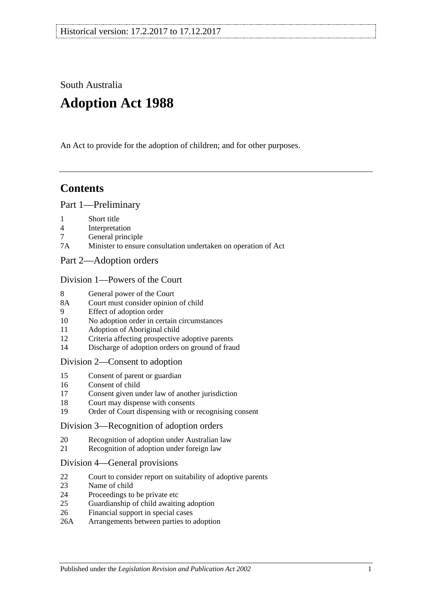South Australia

# **Adoption Act 1988**

An Act to provide for the adoption of children; and for other purposes.

# **Contents**

#### [Part 1—Preliminary](#page-1-0)

- 1 [Short title](#page-1-1)
- 4 [Interpretation](#page-1-2)
- 7 [General principle](#page-3-0)
- 7A [Minister to ensure consultation undertaken on operation of Act](#page-3-1)
- [Part 2—Adoption orders](#page-3-2)

#### [Division 1—Powers of the Court](#page-3-3)

- 8 [General power of the Court](#page-3-4)
- 8A [Court must consider opinion of child](#page-3-5)
- 9 [Effect of adoption order](#page-3-6)
- 10 [No adoption order in certain circumstances](#page-4-0)
- 11 [Adoption of Aboriginal child](#page-4-1)
- 12 [Criteria affecting prospective adoptive parents](#page-5-0)
- 14 [Discharge of adoption orders on ground of fraud](#page-5-1)

#### [Division 2—Consent to adoption](#page-5-2)

- 15 [Consent of parent or guardian](#page-5-3)
- 16 [Consent of child](#page-7-0)
- 17 [Consent given under law of another jurisdiction](#page-7-1)
- 18 [Court may dispense with consents](#page-7-2)
- 19 [Order of Court dispensing with or recognising consent](#page-8-0)

#### [Division 3—Recognition of adoption orders](#page-8-1)

- 20 [Recognition of adoption under Australian law](#page-8-2)
- 21 [Recognition of adoption under foreign law](#page-8-3)

#### [Division 4—General provisions](#page-9-0)

- 22 [Court to consider report on suitability of adoptive parents](#page-9-1)
- 23 [Name of child](#page-9-2)
- 24 [Proceedings to be private etc](#page-9-3)
- 25 [Guardianship of child awaiting adoption](#page-9-4)
- 26 [Financial support in special cases](#page-10-0)
- 26A [Arrangements between parties to adoption](#page-10-1)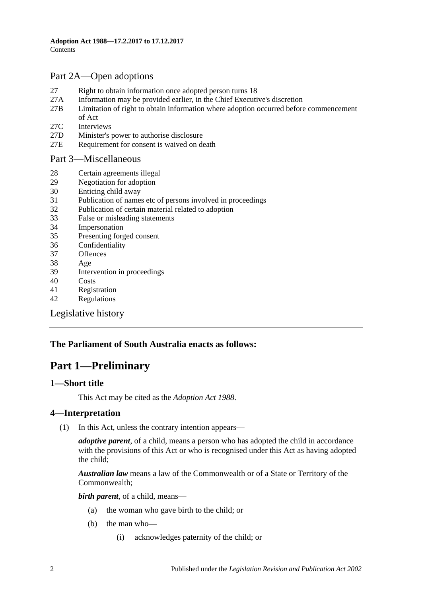## [Part 2A—Open adoptions](#page-11-0)

- 27 [Right to obtain information once adopted person turns 18](#page-11-1)
- 27A [Information may be provided earlier, in the Chief Executive's discretion](#page-12-0)
- 27B [Limitation of right to obtain information where adoption occurred before commencement](#page-12-1)  [of Act](#page-12-1)
- 27C [Interviews](#page-13-0)
- 27D [Minister's power to authorise disclosure](#page-13-1)
- 27E [Requirement for consent is waived on death](#page-13-2)

[Part 3—Miscellaneous](#page-13-3)

- 28 [Certain agreements illegal](#page-13-4)
- 29 [Negotiation for adoption](#page-13-5)
- 30 [Enticing child away](#page-14-0)
- 31 [Publication of names etc of persons involved in proceedings](#page-14-1)
- 32 [Publication of certain material related to adoption](#page-15-0)
- 33 [False or misleading statements](#page-15-1)
- 34 [Impersonation](#page-15-2)
- 35 [Presenting forged consent](#page-15-3)
- 36 [Confidentiality](#page-15-4)
- 37 [Offences](#page-15-5)
- 38 [Age](#page-16-0)
- 39 [Intervention in proceedings](#page-16-1)
- 40 [Costs](#page-16-2)
- 41 [Registration](#page-16-3)
- 42 [Regulations](#page-17-0)

[Legislative history](#page-19-0)

## <span id="page-1-0"></span>**The Parliament of South Australia enacts as follows:**

# **Part 1—Preliminary**

#### <span id="page-1-1"></span>**1—Short title**

This Act may be cited as the *Adoption Act 1988*.

## <span id="page-1-2"></span>**4—Interpretation**

(1) In this Act, unless the contrary intention appears—

*adoptive parent*, of a child, means a person who has adopted the child in accordance with the provisions of this Act or who is recognised under this Act as having adopted the child;

*Australian law* means a law of the Commonwealth or of a State or Territory of the Commonwealth;

*birth parent*, of a child, means—

- (a) the woman who gave birth to the child; or
- (b) the man who—
	- (i) acknowledges paternity of the child; or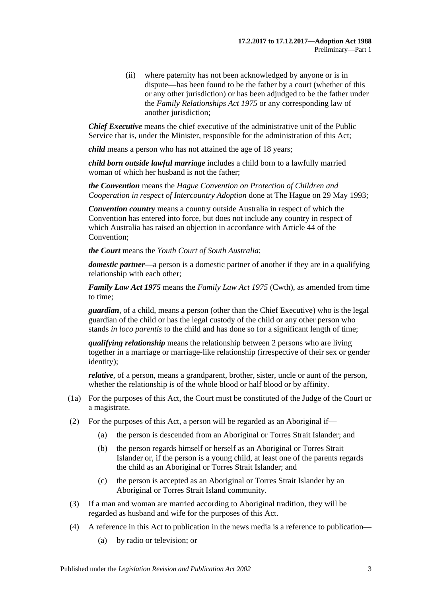(ii) where paternity has not been acknowledged by anyone or is in dispute—has been found to be the father by a court (whether of this or any other jurisdiction) or has been adjudged to be the father under the *[Family Relationships Act](http://www.legislation.sa.gov.au/index.aspx?action=legref&type=act&legtitle=Family%20Relationships%20Act%201975) 1975* or any corresponding law of another jurisdiction;

*Chief Executive* means the chief executive of the administrative unit of the Public Service that is, under the Minister, responsible for the administration of this Act;

*child* means a person who has not attained the age of 18 years;

*child born outside lawful marriage* includes a child born to a lawfully married woman of which her husband is not the father;

*the Convention* means the *Hague Convention on Protection of Children and Cooperation in respect of Intercountry Adoption* done at The Hague on 29 May 1993;

*Convention country* means a country outside Australia in respect of which the Convention has entered into force, but does not include any country in respect of which Australia has raised an objection in accordance with Article 44 of the Convention;

*the Court* means the *Youth Court of South Australia*;

*domestic partner*—a person is a domestic partner of another if they are in a qualifying relationship with each other;

*Family Law Act 1975* means the *Family Law Act 1975* (Cwth), as amended from time to time;

*guardian*, of a child, means a person (other than the Chief Executive) who is the legal guardian of the child or has the legal custody of the child or any other person who stands *in loco parentis* to the child and has done so for a significant length of time;

*qualifying relationship* means the relationship between 2 persons who are living together in a marriage or marriage-like relationship (irrespective of their sex or gender identity);

*relative*, of a person, means a grandparent, brother, sister, uncle or aunt of the person, whether the relationship is of the whole blood or half blood or by affinity.

- (1a) For the purposes of this Act, the Court must be constituted of the Judge of the Court or a magistrate.
- (2) For the purposes of this Act, a person will be regarded as an Aboriginal if—
	- (a) the person is descended from an Aboriginal or Torres Strait Islander; and
	- (b) the person regards himself or herself as an Aboriginal or Torres Strait Islander or, if the person is a young child, at least one of the parents regards the child as an Aboriginal or Torres Strait Islander; and
	- (c) the person is accepted as an Aboriginal or Torres Strait Islander by an Aboriginal or Torres Strait Island community.
- (3) If a man and woman are married according to Aboriginal tradition, they will be regarded as husband and wife for the purposes of this Act.
- (4) A reference in this Act to publication in the news media is a reference to publication—
	- (a) by radio or television; or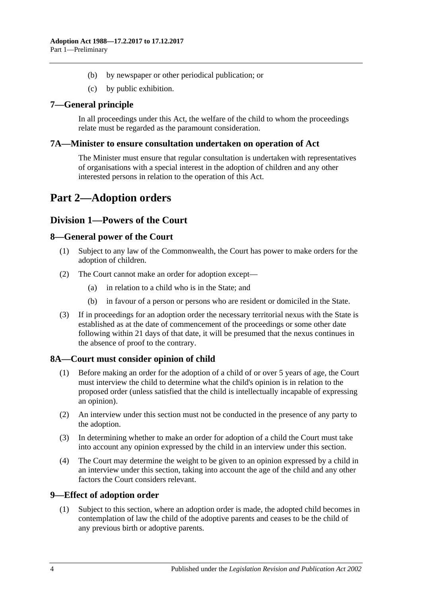- (b) by newspaper or other periodical publication; or
- (c) by public exhibition.

## <span id="page-3-0"></span>**7—General principle**

In all proceedings under this Act, the welfare of the child to whom the proceedings relate must be regarded as the paramount consideration.

#### <span id="page-3-1"></span>**7A—Minister to ensure consultation undertaken on operation of Act**

The Minister must ensure that regular consultation is undertaken with representatives of organisations with a special interest in the adoption of children and any other interested persons in relation to the operation of this Act.

# <span id="page-3-2"></span>**Part 2—Adoption orders**

## <span id="page-3-3"></span>**Division 1—Powers of the Court**

## <span id="page-3-4"></span>**8—General power of the Court**

- (1) Subject to any law of the Commonwealth, the Court has power to make orders for the adoption of children.
- (2) The Court cannot make an order for adoption except—
	- (a) in relation to a child who is in the State; and
	- (b) in favour of a person or persons who are resident or domiciled in the State.
- (3) If in proceedings for an adoption order the necessary territorial nexus with the State is established as at the date of commencement of the proceedings or some other date following within 21 days of that date, it will be presumed that the nexus continues in the absence of proof to the contrary.

## <span id="page-3-5"></span>**8A—Court must consider opinion of child**

- (1) Before making an order for the adoption of a child of or over 5 years of age, the Court must interview the child to determine what the child's opinion is in relation to the proposed order (unless satisfied that the child is intellectually incapable of expressing an opinion).
- (2) An interview under this section must not be conducted in the presence of any party to the adoption.
- (3) In determining whether to make an order for adoption of a child the Court must take into account any opinion expressed by the child in an interview under this section.
- (4) The Court may determine the weight to be given to an opinion expressed by a child in an interview under this section, taking into account the age of the child and any other factors the Court considers relevant.

## <span id="page-3-6"></span>**9—Effect of adoption order**

(1) Subject to this section, where an adoption order is made, the adopted child becomes in contemplation of law the child of the adoptive parents and ceases to be the child of any previous birth or adoptive parents.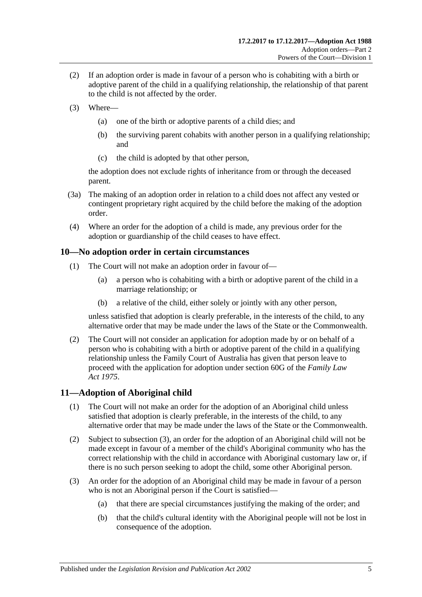- (2) If an adoption order is made in favour of a person who is cohabiting with a birth or adoptive parent of the child in a qualifying relationship, the relationship of that parent to the child is not affected by the order.
- (3) Where—
	- (a) one of the birth or adoptive parents of a child dies; and
	- (b) the surviving parent cohabits with another person in a qualifying relationship; and
	- (c) the child is adopted by that other person,

the adoption does not exclude rights of inheritance from or through the deceased parent.

- (3a) The making of an adoption order in relation to a child does not affect any vested or contingent proprietary right acquired by the child before the making of the adoption order.
- (4) Where an order for the adoption of a child is made, any previous order for the adoption or guardianship of the child ceases to have effect.

## <span id="page-4-0"></span>**10—No adoption order in certain circumstances**

- (1) The Court will not make an adoption order in favour of—
	- (a) a person who is cohabiting with a birth or adoptive parent of the child in a marriage relationship; or
	- (b) a relative of the child, either solely or jointly with any other person,

unless satisfied that adoption is clearly preferable, in the interests of the child, to any alternative order that may be made under the laws of the State or the Commonwealth.

(2) The Court will not consider an application for adoption made by or on behalf of a person who is cohabiting with a birth or adoptive parent of the child in a qualifying relationship unless the Family Court of Australia has given that person leave to proceed with the application for adoption under section 60G of the *Family Law Act 1975*.

## <span id="page-4-1"></span>**11—Adoption of Aboriginal child**

- (1) The Court will not make an order for the adoption of an Aboriginal child unless satisfied that adoption is clearly preferable, in the interests of the child, to any alternative order that may be made under the laws of the State or the Commonwealth.
- (2) Subject to [subsection](#page-4-2) (3), an order for the adoption of an Aboriginal child will not be made except in favour of a member of the child's Aboriginal community who has the correct relationship with the child in accordance with Aboriginal customary law or, if there is no such person seeking to adopt the child, some other Aboriginal person.
- <span id="page-4-2"></span>(3) An order for the adoption of an Aboriginal child may be made in favour of a person who is not an Aboriginal person if the Court is satisfied—
	- (a) that there are special circumstances justifying the making of the order; and
	- (b) that the child's cultural identity with the Aboriginal people will not be lost in consequence of the adoption.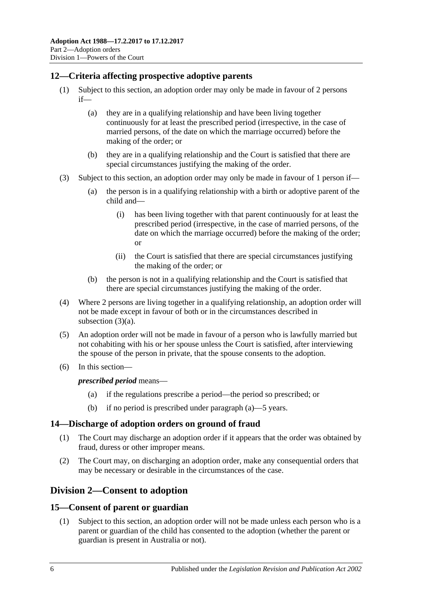## <span id="page-5-0"></span>**12—Criteria affecting prospective adoptive parents**

- (1) Subject to this section, an adoption order may only be made in favour of 2 persons if—
	- (a) they are in a qualifying relationship and have been living together continuously for at least the prescribed period (irrespective, in the case of married persons, of the date on which the marriage occurred) before the making of the order; or
	- (b) they are in a qualifying relationship and the Court is satisfied that there are special circumstances justifying the making of the order.
- <span id="page-5-4"></span>(3) Subject to this section, an adoption order may only be made in favour of 1 person if—
	- (a) the person is in a qualifying relationship with a birth or adoptive parent of the child and—
		- (i) has been living together with that parent continuously for at least the prescribed period (irrespective, in the case of married persons, of the date on which the marriage occurred) before the making of the order; or
		- (ii) the Court is satisfied that there are special circumstances justifying the making of the order; or
	- (b) the person is not in a qualifying relationship and the Court is satisfied that there are special circumstances justifying the making of the order.
- (4) Where 2 persons are living together in a qualifying relationship, an adoption order will not be made except in favour of both or in the circumstances described in [subsection](#page-5-4) (3)(a).
- (5) An adoption order will not be made in favour of a person who is lawfully married but not cohabiting with his or her spouse unless the Court is satisfied, after interviewing the spouse of the person in private, that the spouse consents to the adoption.
- <span id="page-5-5"></span>(6) In this section—

*prescribed period* means—

- (a) if the regulations prescribe a period—the period so prescribed; or
- (b) if no period is prescribed under [paragraph](#page-5-5) (a)—5 years.

## <span id="page-5-1"></span>**14—Discharge of adoption orders on ground of fraud**

- (1) The Court may discharge an adoption order if it appears that the order was obtained by fraud, duress or other improper means.
- (2) The Court may, on discharging an adoption order, make any consequential orders that may be necessary or desirable in the circumstances of the case.

# <span id="page-5-2"></span>**Division 2—Consent to adoption**

## <span id="page-5-3"></span>**15—Consent of parent or guardian**

(1) Subject to this section, an adoption order will not be made unless each person who is a parent or guardian of the child has consented to the adoption (whether the parent or guardian is present in Australia or not).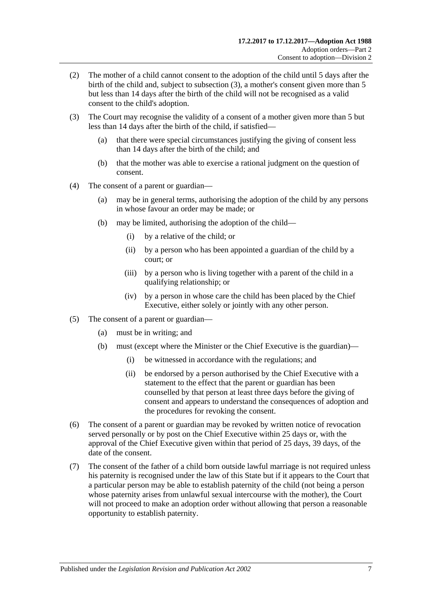- (2) The mother of a child cannot consent to the adoption of the child until 5 days after the birth of the child and, subject to [subsection](#page-6-0) (3), a mother's consent given more than 5 but less than 14 days after the birth of the child will not be recognised as a valid consent to the child's adoption.
- <span id="page-6-0"></span>(3) The Court may recognise the validity of a consent of a mother given more than 5 but less than 14 days after the birth of the child, if satisfied—
	- (a) that there were special circumstances justifying the giving of consent less than 14 days after the birth of the child; and
	- (b) that the mother was able to exercise a rational judgment on the question of consent.
- (4) The consent of a parent or guardian—
	- (a) may be in general terms, authorising the adoption of the child by any persons in whose favour an order may be made; or
	- (b) may be limited, authorising the adoption of the child—
		- (i) by a relative of the child; or
		- (ii) by a person who has been appointed a guardian of the child by a court; or
		- (iii) by a person who is living together with a parent of the child in a qualifying relationship; or
		- (iv) by a person in whose care the child has been placed by the Chief Executive, either solely or jointly with any other person.
- (5) The consent of a parent or guardian—
	- (a) must be in writing; and
	- (b) must (except where the Minister or the Chief Executive is the guardian)—
		- (i) be witnessed in accordance with the regulations; and
		- (ii) be endorsed by a person authorised by the Chief Executive with a statement to the effect that the parent or guardian has been counselled by that person at least three days before the giving of consent and appears to understand the consequences of adoption and the procedures for revoking the consent.
- (6) The consent of a parent or guardian may be revoked by written notice of revocation served personally or by post on the Chief Executive within 25 days or, with the approval of the Chief Executive given within that period of 25 days, 39 days, of the date of the consent.
- (7) The consent of the father of a child born outside lawful marriage is not required unless his paternity is recognised under the law of this State but if it appears to the Court that a particular person may be able to establish paternity of the child (not being a person whose paternity arises from unlawful sexual intercourse with the mother), the Court will not proceed to make an adoption order without allowing that person a reasonable opportunity to establish paternity.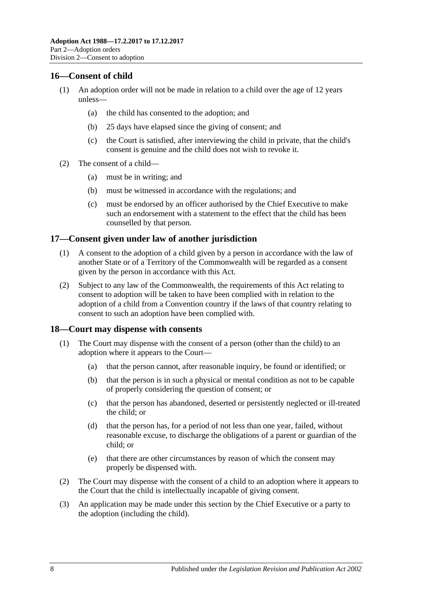## <span id="page-7-0"></span>**16—Consent of child**

- (1) An adoption order will not be made in relation to a child over the age of 12 years unless—
	- (a) the child has consented to the adoption; and
	- (b) 25 days have elapsed since the giving of consent; and
	- (c) the Court is satisfied, after interviewing the child in private, that the child's consent is genuine and the child does not wish to revoke it.
- (2) The consent of a child—
	- (a) must be in writing; and
	- (b) must be witnessed in accordance with the regulations; and
	- (c) must be endorsed by an officer authorised by the Chief Executive to make such an endorsement with a statement to the effect that the child has been counselled by that person.

#### <span id="page-7-1"></span>**17—Consent given under law of another jurisdiction**

- (1) A consent to the adoption of a child given by a person in accordance with the law of another State or of a Territory of the Commonwealth will be regarded as a consent given by the person in accordance with this Act.
- (2) Subject to any law of the Commonwealth, the requirements of this Act relating to consent to adoption will be taken to have been complied with in relation to the adoption of a child from a Convention country if the laws of that country relating to consent to such an adoption have been complied with.

#### <span id="page-7-2"></span>**18—Court may dispense with consents**

- (1) The Court may dispense with the consent of a person (other than the child) to an adoption where it appears to the Court—
	- (a) that the person cannot, after reasonable inquiry, be found or identified; or
	- (b) that the person is in such a physical or mental condition as not to be capable of properly considering the question of consent; or
	- (c) that the person has abandoned, deserted or persistently neglected or ill-treated the child; or
	- (d) that the person has, for a period of not less than one year, failed, without reasonable excuse, to discharge the obligations of a parent or guardian of the child; or
	- (e) that there are other circumstances by reason of which the consent may properly be dispensed with.
- (2) The Court may dispense with the consent of a child to an adoption where it appears to the Court that the child is intellectually incapable of giving consent.
- (3) An application may be made under this section by the Chief Executive or a party to the adoption (including the child).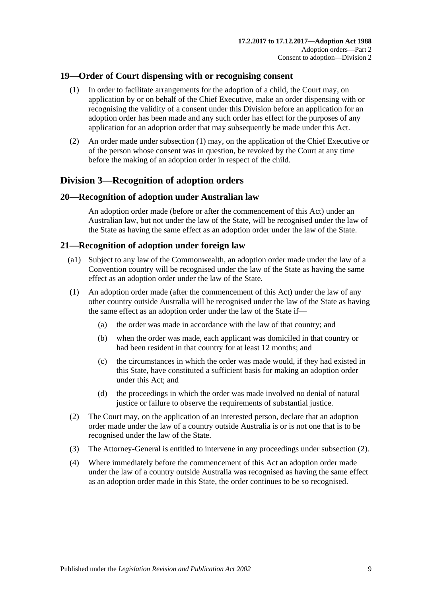## <span id="page-8-4"></span><span id="page-8-0"></span>**19—Order of Court dispensing with or recognising consent**

- (1) In order to facilitate arrangements for the adoption of a child, the Court may, on application by or on behalf of the Chief Executive, make an order dispensing with or recognising the validity of a consent under this Division before an application for an adoption order has been made and any such order has effect for the purposes of any application for an adoption order that may subsequently be made under this Act.
- (2) An order made under [subsection](#page-8-4) (1) may, on the application of the Chief Executive or of the person whose consent was in question, be revoked by the Court at any time before the making of an adoption order in respect of the child.

# <span id="page-8-1"></span>**Division 3—Recognition of adoption orders**

## <span id="page-8-2"></span>**20—Recognition of adoption under Australian law**

An adoption order made (before or after the commencement of this Act) under an Australian law, but not under the law of the State, will be recognised under the law of the State as having the same effect as an adoption order under the law of the State.

#### <span id="page-8-3"></span>**21—Recognition of adoption under foreign law**

- (a1) Subject to any law of the Commonwealth, an adoption order made under the law of a Convention country will be recognised under the law of the State as having the same effect as an adoption order under the law of the State.
- (1) An adoption order made (after the commencement of this Act) under the law of any other country outside Australia will be recognised under the law of the State as having the same effect as an adoption order under the law of the State if—
	- (a) the order was made in accordance with the law of that country; and
	- (b) when the order was made, each applicant was domiciled in that country or had been resident in that country for at least 12 months; and
	- (c) the circumstances in which the order was made would, if they had existed in this State, have constituted a sufficient basis for making an adoption order under this Act; and
	- (d) the proceedings in which the order was made involved no denial of natural justice or failure to observe the requirements of substantial justice.
- <span id="page-8-5"></span>(2) The Court may, on the application of an interested person, declare that an adoption order made under the law of a country outside Australia is or is not one that is to be recognised under the law of the State.
- (3) The Attorney-General is entitled to intervene in any proceedings under [subsection](#page-8-5) (2).
- (4) Where immediately before the commencement of this Act an adoption order made under the law of a country outside Australia was recognised as having the same effect as an adoption order made in this State, the order continues to be so recognised.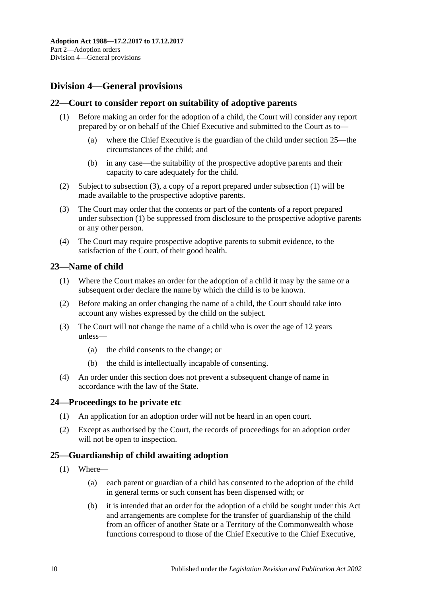# <span id="page-9-0"></span>**Division 4—General provisions**

## <span id="page-9-6"></span><span id="page-9-1"></span>**22—Court to consider report on suitability of adoptive parents**

- (1) Before making an order for the adoption of a child, the Court will consider any report prepared by or on behalf of the Chief Executive and submitted to the Court as to—
	- (a) where the Chief Executive is the guardian of the child under [section](#page-9-4) 25—the circumstances of the child; and
	- (b) in any case—the suitability of the prospective adoptive parents and their capacity to care adequately for the child.
- (2) Subject to [subsection](#page-9-5) (3), a copy of a report prepared under [subsection](#page-9-6) (1) will be made available to the prospective adoptive parents.
- <span id="page-9-5"></span>(3) The Court may order that the contents or part of the contents of a report prepared under [subsection](#page-9-6) (1) be suppressed from disclosure to the prospective adoptive parents or any other person.
- (4) The Court may require prospective adoptive parents to submit evidence, to the satisfaction of the Court, of their good health.

#### <span id="page-9-2"></span>**23—Name of child**

- (1) Where the Court makes an order for the adoption of a child it may by the same or a subsequent order declare the name by which the child is to be known.
- (2) Before making an order changing the name of a child, the Court should take into account any wishes expressed by the child on the subject.
- (3) The Court will not change the name of a child who is over the age of 12 years unless—
	- (a) the child consents to the change; or
	- (b) the child is intellectually incapable of consenting.
- (4) An order under this section does not prevent a subsequent change of name in accordance with the law of the State.

#### <span id="page-9-3"></span>**24—Proceedings to be private etc**

- (1) An application for an adoption order will not be heard in an open court.
- (2) Except as authorised by the Court, the records of proceedings for an adoption order will not be open to inspection.

## <span id="page-9-4"></span>**25—Guardianship of child awaiting adoption**

- <span id="page-9-7"></span>(1) Where—
	- (a) each parent or guardian of a child has consented to the adoption of the child in general terms or such consent has been dispensed with; or
	- (b) it is intended that an order for the adoption of a child be sought under this Act and arrangements are complete for the transfer of guardianship of the child from an officer of another State or a Territory of the Commonwealth whose functions correspond to those of the Chief Executive to the Chief Executive,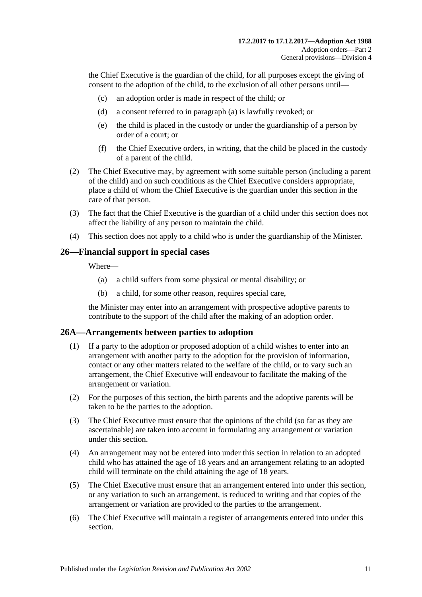the Chief Executive is the guardian of the child, for all purposes except the giving of consent to the adoption of the child, to the exclusion of all other persons until—

- (c) an adoption order is made in respect of the child; or
- (d) a consent referred to in [paragraph](#page-9-7) (a) is lawfully revoked; or
- (e) the child is placed in the custody or under the guardianship of a person by order of a court; or
- (f) the Chief Executive orders, in writing, that the child be placed in the custody of a parent of the child.
- (2) The Chief Executive may, by agreement with some suitable person (including a parent of the child) and on such conditions as the Chief Executive considers appropriate, place a child of whom the Chief Executive is the guardian under this section in the care of that person.
- (3) The fact that the Chief Executive is the guardian of a child under this section does not affect the liability of any person to maintain the child.
- (4) This section does not apply to a child who is under the guardianship of the Minister.

#### <span id="page-10-0"></span>**26—Financial support in special cases**

Where—

- (a) a child suffers from some physical or mental disability; or
- (b) a child, for some other reason, requires special care,

the Minister may enter into an arrangement with prospective adoptive parents to contribute to the support of the child after the making of an adoption order.

#### <span id="page-10-1"></span>**26A—Arrangements between parties to adoption**

- (1) If a party to the adoption or proposed adoption of a child wishes to enter into an arrangement with another party to the adoption for the provision of information, contact or any other matters related to the welfare of the child, or to vary such an arrangement, the Chief Executive will endeavour to facilitate the making of the arrangement or variation.
- (2) For the purposes of this section, the birth parents and the adoptive parents will be taken to be the parties to the adoption.
- (3) The Chief Executive must ensure that the opinions of the child (so far as they are ascertainable) are taken into account in formulating any arrangement or variation under this section.
- (4) An arrangement may not be entered into under this section in relation to an adopted child who has attained the age of 18 years and an arrangement relating to an adopted child will terminate on the child attaining the age of 18 years.
- (5) The Chief Executive must ensure that an arrangement entered into under this section, or any variation to such an arrangement, is reduced to writing and that copies of the arrangement or variation are provided to the parties to the arrangement.
- (6) The Chief Executive will maintain a register of arrangements entered into under this section.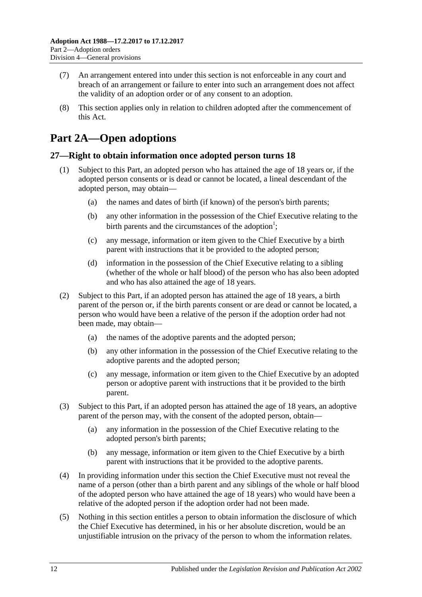- (7) An arrangement entered into under this section is not enforceable in any court and breach of an arrangement or failure to enter into such an arrangement does not affect the validity of an adoption order or of any consent to an adoption.
- (8) This section applies only in relation to children adopted after the commencement of this Act.

# <span id="page-11-0"></span>**Part 2A—Open adoptions**

## <span id="page-11-1"></span>**27—Right to obtain information once adopted person turns 18**

- (1) Subject to this Part, an adopted person who has attained the age of 18 years or, if the adopted person consents or is dead or cannot be located, a lineal descendant of the adopted person, may obtain—
	- (a) the names and dates of birth (if known) of the person's birth parents;
	- (b) any other information in the possession of the Chief Executive relating to the birth parents and the circumstances of the adoption<sup>1</sup>;
	- (c) any message, information or item given to the Chief Executive by a birth parent with instructions that it be provided to the adopted person;
	- (d) information in the possession of the Chief Executive relating to a sibling (whether of the whole or half blood) of the person who has also been adopted and who has also attained the age of 18 years.
- (2) Subject to this Part, if an adopted person has attained the age of 18 years, a birth parent of the person or, if the birth parents consent or are dead or cannot be located, a person who would have been a relative of the person if the adoption order had not been made, may obtain—
	- (a) the names of the adoptive parents and the adopted person;
	- (b) any other information in the possession of the Chief Executive relating to the adoptive parents and the adopted person;
	- (c) any message, information or item given to the Chief Executive by an adopted person or adoptive parent with instructions that it be provided to the birth parent.
- (3) Subject to this Part, if an adopted person has attained the age of 18 years, an adoptive parent of the person may, with the consent of the adopted person, obtain—
	- (a) any information in the possession of the Chief Executive relating to the adopted person's birth parents;
	- (b) any message, information or item given to the Chief Executive by a birth parent with instructions that it be provided to the adoptive parents.
- (4) In providing information under this section the Chief Executive must not reveal the name of a person (other than a birth parent and any siblings of the whole or half blood of the adopted person who have attained the age of 18 years) who would have been a relative of the adopted person if the adoption order had not been made.
- <span id="page-11-2"></span>(5) Nothing in this section entitles a person to obtain information the disclosure of which the Chief Executive has determined, in his or her absolute discretion, would be an unjustifiable intrusion on the privacy of the person to whom the information relates.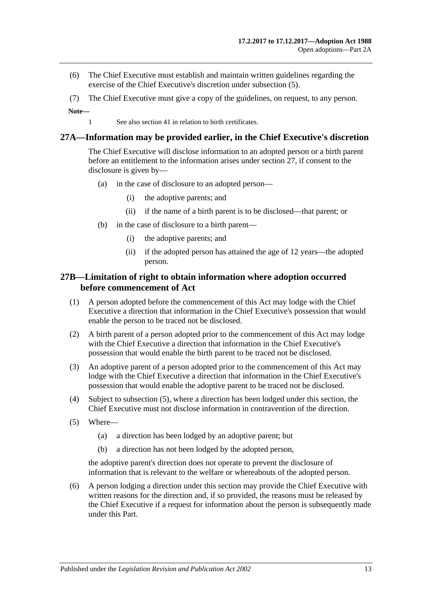- (6) The Chief Executive must establish and maintain written guidelines regarding the exercise of the Chief Executive's discretion under [subsection](#page-11-2) (5).
- (7) The Chief Executive must give a copy of the guidelines, on request, to any person.

**Note—**

1 See also [section](#page-16-3) 41 in relation to birth certificates.

#### <span id="page-12-0"></span>**27A—Information may be provided earlier, in the Chief Executive's discretion**

The Chief Executive will disclose information to an adopted person or a birth parent before an entitlement to the information arises under [section](#page-11-1) 27, if consent to the disclosure is given by—

- (a) in the case of disclosure to an adopted person—
	- (i) the adoptive parents; and
	- (ii) if the name of a birth parent is to be disclosed—that parent; or
- (b) in the case of disclosure to a birth parent—
	- (i) the adoptive parents; and
	- (ii) if the adopted person has attained the age of 12 years—the adopted person.

## <span id="page-12-1"></span>**27B—Limitation of right to obtain information where adoption occurred before commencement of Act**

- (1) A person adopted before the commencement of this Act may lodge with the Chief Executive a direction that information in the Chief Executive's possession that would enable the person to be traced not be disclosed.
- (2) A birth parent of a person adopted prior to the commencement of this Act may lodge with the Chief Executive a direction that information in the Chief Executive's possession that would enable the birth parent to be traced not be disclosed.
- (3) An adoptive parent of a person adopted prior to the commencement of this Act may lodge with the Chief Executive a direction that information in the Chief Executive's possession that would enable the adoptive parent to be traced not be disclosed.
- (4) Subject to [subsection](#page-12-2) (5), where a direction has been lodged under this section, the Chief Executive must not disclose information in contravention of the direction.
- <span id="page-12-2"></span>(5) Where—
	- (a) a direction has been lodged by an adoptive parent; but
	- (b) a direction has not been lodged by the adopted person,

the adoptive parent's direction does not operate to prevent the disclosure of information that is relevant to the welfare or whereabouts of the adopted person.

(6) A person lodging a direction under this section may provide the Chief Executive with written reasons for the direction and, if so provided, the reasons must be released by the Chief Executive if a request for information about the person is subsequently made under this Part.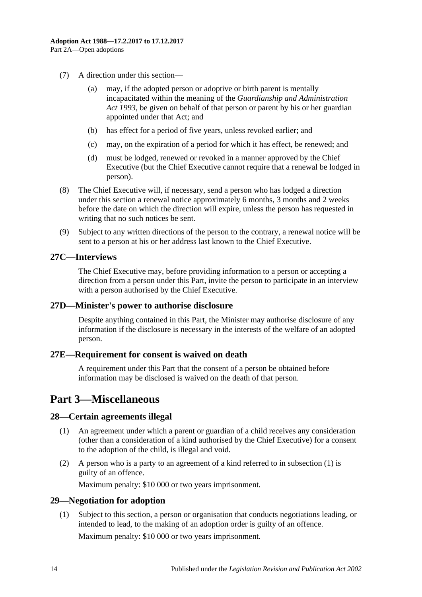- (7) A direction under this section—
	- (a) may, if the adopted person or adoptive or birth parent is mentally incapacitated within the meaning of the *[Guardianship and Administration](http://www.legislation.sa.gov.au/index.aspx?action=legref&type=act&legtitle=Guardianship%20and%20Administration%20Act%201993)  Act [1993](http://www.legislation.sa.gov.au/index.aspx?action=legref&type=act&legtitle=Guardianship%20and%20Administration%20Act%201993)*, be given on behalf of that person or parent by his or her guardian appointed under that Act; and
	- (b) has effect for a period of five years, unless revoked earlier; and
	- (c) may, on the expiration of a period for which it has effect, be renewed; and
	- (d) must be lodged, renewed or revoked in a manner approved by the Chief Executive (but the Chief Executive cannot require that a renewal be lodged in person).
- (8) The Chief Executive will, if necessary, send a person who has lodged a direction under this section a renewal notice approximately 6 months, 3 months and 2 weeks before the date on which the direction will expire, unless the person has requested in writing that no such notices be sent.
- (9) Subject to any written directions of the person to the contrary, a renewal notice will be sent to a person at his or her address last known to the Chief Executive.

#### <span id="page-13-0"></span>**27C—Interviews**

The Chief Executive may, before providing information to a person or accepting a direction from a person under this Part, invite the person to participate in an interview with a person authorised by the Chief Executive.

#### <span id="page-13-1"></span>**27D—Minister's power to authorise disclosure**

Despite anything contained in this Part, the Minister may authorise disclosure of any information if the disclosure is necessary in the interests of the welfare of an adopted person.

## <span id="page-13-2"></span>**27E—Requirement for consent is waived on death**

A requirement under this Part that the consent of a person be obtained before information may be disclosed is waived on the death of that person.

# <span id="page-13-3"></span>**Part 3—Miscellaneous**

## <span id="page-13-6"></span><span id="page-13-4"></span>**28—Certain agreements illegal**

- (1) An agreement under which a parent or guardian of a child receives any consideration (other than a consideration of a kind authorised by the Chief Executive) for a consent to the adoption of the child, is illegal and void.
- (2) A person who is a party to an agreement of a kind referred to in [subsection](#page-13-6) (1) is guilty of an offence.

Maximum penalty: \$10 000 or two years imprisonment.

## <span id="page-13-7"></span><span id="page-13-5"></span>**29—Negotiation for adoption**

(1) Subject to this section, a person or organisation that conducts negotiations leading, or intended to lead, to the making of an adoption order is guilty of an offence.

Maximum penalty: \$10 000 or two years imprisonment.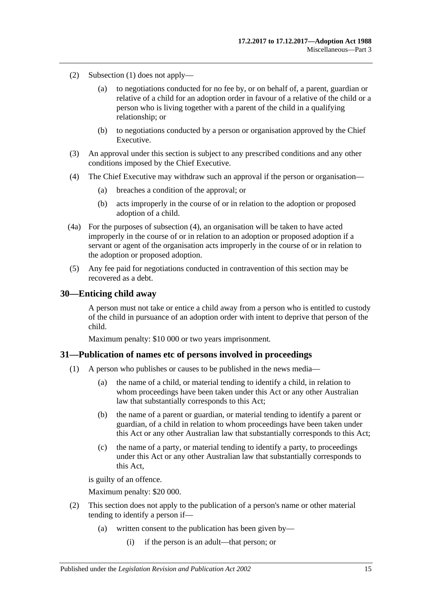- (2) [Subsection](#page-13-7) (1) does not apply—
	- (a) to negotiations conducted for no fee by, or on behalf of, a parent, guardian or relative of a child for an adoption order in favour of a relative of the child or a person who is living together with a parent of the child in a qualifying relationship; or
	- (b) to negotiations conducted by a person or organisation approved by the Chief Executive.
- (3) An approval under this section is subject to any prescribed conditions and any other conditions imposed by the Chief Executive.
- <span id="page-14-2"></span>(4) The Chief Executive may withdraw such an approval if the person or organisation—
	- (a) breaches a condition of the approval; or
	- (b) acts improperly in the course of or in relation to the adoption or proposed adoption of a child.
- (4a) For the purposes of [subsection](#page-14-2) (4), an organisation will be taken to have acted improperly in the course of or in relation to an adoption or proposed adoption if a servant or agent of the organisation acts improperly in the course of or in relation to the adoption or proposed adoption.
- (5) Any fee paid for negotiations conducted in contravention of this section may be recovered as a debt.

#### <span id="page-14-0"></span>**30—Enticing child away**

A person must not take or entice a child away from a person who is entitled to custody of the child in pursuance of an adoption order with intent to deprive that person of the child.

Maximum penalty: \$10 000 or two years imprisonment.

#### <span id="page-14-1"></span>**31—Publication of names etc of persons involved in proceedings**

- (1) A person who publishes or causes to be published in the news media—
	- (a) the name of a child, or material tending to identify a child, in relation to whom proceedings have been taken under this Act or any other Australian law that substantially corresponds to this Act;
	- (b) the name of a parent or guardian, or material tending to identify a parent or guardian, of a child in relation to whom proceedings have been taken under this Act or any other Australian law that substantially corresponds to this Act;
	- (c) the name of a party, or material tending to identify a party, to proceedings under this Act or any other Australian law that substantially corresponds to this Act,

is guilty of an offence.

Maximum penalty: \$20 000.

- (2) This section does not apply to the publication of a person's name or other material tending to identify a person if—
	- (a) written consent to the publication has been given by—
		- (i) if the person is an adult—that person; or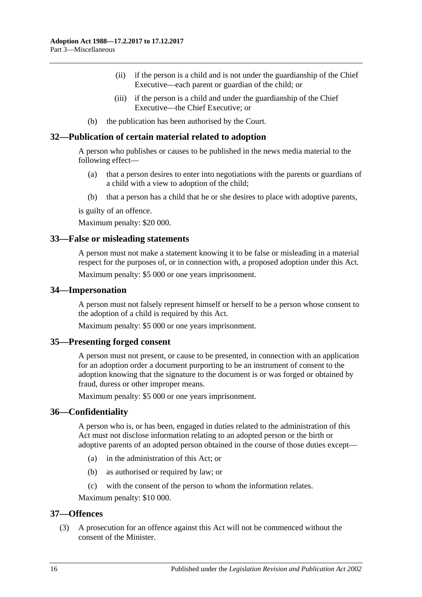- (ii) if the person is a child and is not under the guardianship of the Chief Executive—each parent or guardian of the child; or
- (iii) if the person is a child and under the guardianship of the Chief Executive—the Chief Executive; or
- (b) the publication has been authorised by the Court.

#### <span id="page-15-0"></span>**32—Publication of certain material related to adoption**

A person who publishes or causes to be published in the news media material to the following effect—

- (a) that a person desires to enter into negotiations with the parents or guardians of a child with a view to adoption of the child;
- (b) that a person has a child that he or she desires to place with adoptive parents,

is guilty of an offence.

Maximum penalty: \$20 000.

#### <span id="page-15-1"></span>**33—False or misleading statements**

A person must not make a statement knowing it to be false or misleading in a material respect for the purposes of, or in connection with, a proposed adoption under this Act. Maximum penalty: \$5 000 or one years imprisonment.

#### <span id="page-15-2"></span>**34—Impersonation**

A person must not falsely represent himself or herself to be a person whose consent to the adoption of a child is required by this Act.

Maximum penalty: \$5 000 or one years imprisonment.

#### <span id="page-15-3"></span>**35—Presenting forged consent**

A person must not present, or cause to be presented, in connection with an application for an adoption order a document purporting to be an instrument of consent to the adoption knowing that the signature to the document is or was forged or obtained by fraud, duress or other improper means.

Maximum penalty: \$5 000 or one years imprisonment.

#### <span id="page-15-4"></span>**36—Confidentiality**

A person who is, or has been, engaged in duties related to the administration of this Act must not disclose information relating to an adopted person or the birth or adoptive parents of an adopted person obtained in the course of those duties except—

- (a) in the administration of this Act; or
- (b) as authorised or required by law; or
- (c) with the consent of the person to whom the information relates.

Maximum penalty: \$10 000.

#### <span id="page-15-5"></span>**37—Offences**

(3) A prosecution for an offence against this Act will not be commenced without the consent of the Minister.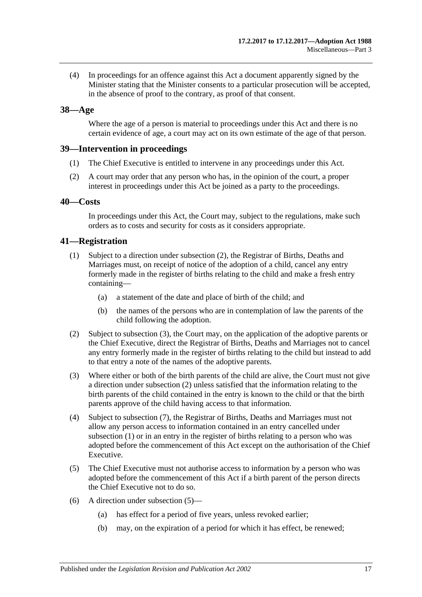(4) In proceedings for an offence against this Act a document apparently signed by the Minister stating that the Minister consents to a particular prosecution will be accepted, in the absence of proof to the contrary, as proof of that consent.

## <span id="page-16-0"></span>**38—Age**

Where the age of a person is material to proceedings under this Act and there is no certain evidence of age, a court may act on its own estimate of the age of that person.

#### <span id="page-16-1"></span>**39—Intervention in proceedings**

- (1) The Chief Executive is entitled to intervene in any proceedings under this Act.
- (2) A court may order that any person who has, in the opinion of the court, a proper interest in proceedings under this Act be joined as a party to the proceedings.

#### <span id="page-16-2"></span>**40—Costs**

In proceedings under this Act, the Court may, subject to the regulations, make such orders as to costs and security for costs as it considers appropriate.

#### <span id="page-16-6"></span><span id="page-16-3"></span>**41—Registration**

- (1) Subject to a direction under [subsection](#page-16-4) (2), the Registrar of Births, Deaths and Marriages must, on receipt of notice of the adoption of a child, cancel any entry formerly made in the register of births relating to the child and make a fresh entry containing—
	- (a) a statement of the date and place of birth of the child; and
	- (b) the names of the persons who are in contemplation of law the parents of the child following the adoption.
- <span id="page-16-4"></span>(2) Subject to [subsection](#page-16-5) (3), the Court may, on the application of the adoptive parents or the Chief Executive, direct the Registrar of Births, Deaths and Marriages not to cancel any entry formerly made in the register of births relating to the child but instead to add to that entry a note of the names of the adoptive parents.
- <span id="page-16-5"></span>(3) Where either or both of the birth parents of the child are alive, the Court must not give a direction under [subsection](#page-16-4) (2) unless satisfied that the information relating to the birth parents of the child contained in the entry is known to the child or that the birth parents approve of the child having access to that information.
- (4) Subject to [subsection](#page-17-1) (7), the Registrar of Births, Deaths and Marriages must not allow any person access to information contained in an entry cancelled under [subsection](#page-16-6) (1) or in an entry in the register of births relating to a person who was adopted before the commencement of this Act except on the authorisation of the Chief Executive.
- <span id="page-16-7"></span>(5) The Chief Executive must not authorise access to information by a person who was adopted before the commencement of this Act if a birth parent of the person directs the Chief Executive not to do so.
- (6) A direction under [subsection](#page-16-7) (5)—
	- (a) has effect for a period of five years, unless revoked earlier;
	- (b) may, on the expiration of a period for which it has effect, be renewed;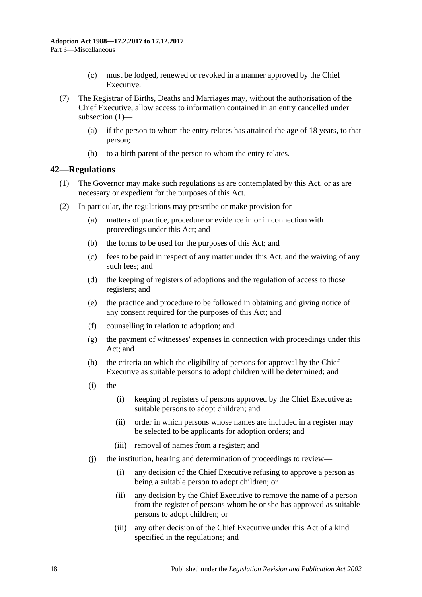- (c) must be lodged, renewed or revoked in a manner approved by the Chief Executive.
- <span id="page-17-1"></span>(7) The Registrar of Births, Deaths and Marriages may, without the authorisation of the Chief Executive, allow access to information contained in an entry cancelled under [subsection](#page-16-6) (1)—
	- (a) if the person to whom the entry relates has attained the age of 18 years, to that person;
	- (b) to a birth parent of the person to whom the entry relates.

#### <span id="page-17-0"></span>**42—Regulations**

- (1) The Governor may make such regulations as are contemplated by this Act, or as are necessary or expedient for the purposes of this Act.
- (2) In particular, the regulations may prescribe or make provision for—
	- (a) matters of practice, procedure or evidence in or in connection with proceedings under this Act; and
	- (b) the forms to be used for the purposes of this Act; and
	- (c) fees to be paid in respect of any matter under this Act, and the waiving of any such fees; and
	- (d) the keeping of registers of adoptions and the regulation of access to those registers; and
	- (e) the practice and procedure to be followed in obtaining and giving notice of any consent required for the purposes of this Act; and
	- (f) counselling in relation to adoption; and
	- (g) the payment of witnesses' expenses in connection with proceedings under this Act; and
	- (h) the criteria on which the eligibility of persons for approval by the Chief Executive as suitable persons to adopt children will be determined; and
	- $(i)$  the
		- (i) keeping of registers of persons approved by the Chief Executive as suitable persons to adopt children; and
		- (ii) order in which persons whose names are included in a register may be selected to be applicants for adoption orders; and
		- (iii) removal of names from a register; and
	- (j) the institution, hearing and determination of proceedings to review—
		- (i) any decision of the Chief Executive refusing to approve a person as being a suitable person to adopt children; or
		- (ii) any decision by the Chief Executive to remove the name of a person from the register of persons whom he or she has approved as suitable persons to adopt children; or
		- (iii) any other decision of the Chief Executive under this Act of a kind specified in the regulations; and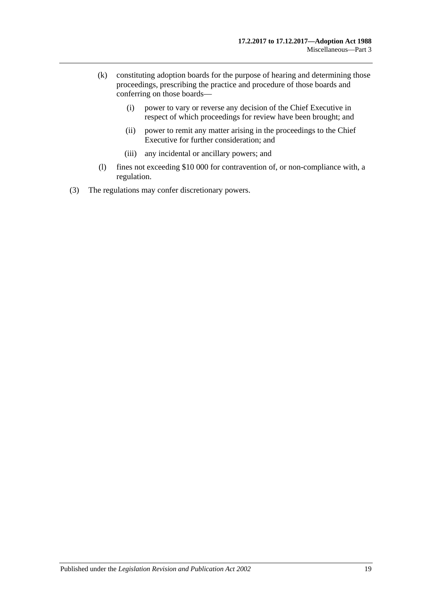- (k) constituting adoption boards for the purpose of hearing and determining those proceedings, prescribing the practice and procedure of those boards and conferring on those boards—
	- (i) power to vary or reverse any decision of the Chief Executive in respect of which proceedings for review have been brought; and
	- (ii) power to remit any matter arising in the proceedings to the Chief Executive for further consideration; and
	- (iii) any incidental or ancillary powers; and
- (l) fines not exceeding \$10 000 for contravention of, or non-compliance with, a regulation.
- (3) The regulations may confer discretionary powers.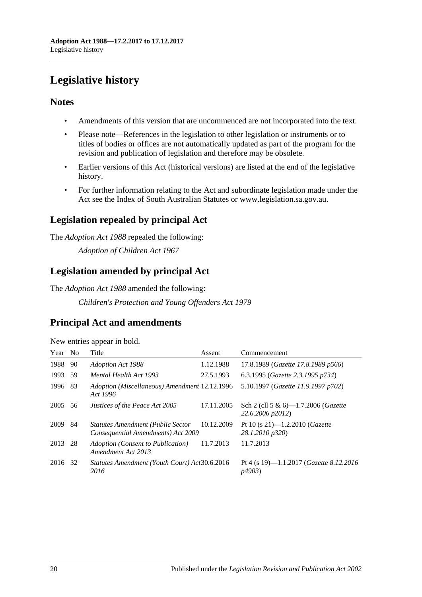# <span id="page-19-0"></span>**Legislative history**

## **Notes**

- Amendments of this version that are uncommenced are not incorporated into the text.
- Please note—References in the legislation to other legislation or instruments or to titles of bodies or offices are not automatically updated as part of the program for the revision and publication of legislation and therefore may be obsolete.
- Earlier versions of this Act (historical versions) are listed at the end of the legislative history.
- For further information relating to the Act and subordinate legislation made under the Act see the Index of South Australian Statutes or www.legislation.sa.gov.au.

# **Legislation repealed by principal Act**

The *Adoption Act 1988* repealed the following:

*Adoption of Children Act 1967*

# **Legislation amended by principal Act**

The *Adoption Act 1988* amended the following:

*Children's Protection and Young Offenders Act 1979*

# **Principal Act and amendments**

|                         | New entries appear in bold. |
|-------------------------|-----------------------------|
| $V_{\rho}$ ar No. Title |                             |

| Year No |     | Title                                                                          | Assent     | Commencement                                                      |
|---------|-----|--------------------------------------------------------------------------------|------------|-------------------------------------------------------------------|
| 1988    | 90  | <b>Adoption Act 1988</b>                                                       | 1.12.1988  | 17.8.1989 (Gazette 17.8.1989 p566)                                |
| 1993    | 59  | Mental Health Act 1993                                                         | 27.5.1993  | 6.3.1995 (Gazette 2.3.1995 p734)                                  |
| 1996    | -83 | Adoption (Miscellaneous) Amendment 12.12.1996<br>Act 1996                      |            | 5.10.1997 (Gazette 11.9.1997 p702)                                |
| 2005    | 56  | Justices of the Peace Act 2005                                                 | 17.11.2005 | Sch 2 (cll 5 & 6)-1.7.2006 (Gazette<br>22.6.2006 p2012)           |
| 2009    | 84  | <b>Statutes Amendment (Public Sector</b><br>Consequential Amendments) Act 2009 | 10.12.2009 | Pt 10 (s 21)—1.2.2010 ( <i>Gazette</i><br>28.1.2010 p320)         |
| 2013    | 28  | Adoption (Consent to Publication)<br>Amendment Act 2013                        | 11.7.2013  | 11.7.2013                                                         |
| 2016    | 32  | Statutes Amendment (Youth Court) Act30.6.2016<br>2016                          |            | Pt 4 (s 19)—1.1.2017 ( <i>Gazette 8.12.2016</i><br><i>p4903</i> ) |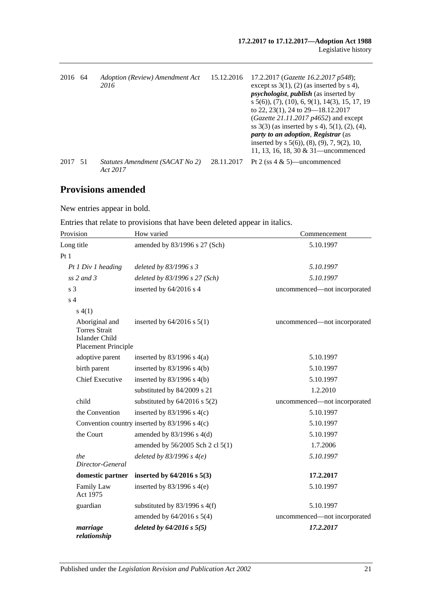| 2016    | - 64 | Adoption (Review) Amendment Act<br>2016     | 15.12.2016 | 17.2.2017 (Gazette 16.2.2017 p548);<br>except ss $3(1)$ , (2) (as inserted by s 4),<br><i>psychologist, publish</i> (as inserted by<br>$s$ 5(6)), (7), (10), 6, 9(1), 14(3), 15, 17, 19<br>to 22, 23(1), 24 to 29–18.12.2017<br>( <i>Gazette 21.11.2017 p4652</i> ) and except<br>ss $3(3)$ (as inserted by s 4), $5(1)$ , $(2)$ , $(4)$ ,<br><i>party to an adoption, Registrar (as</i><br>inserted by $s$ 5(6)), (8), (9), 7, 9(2), 10,<br>11, 13, 16, 18, 30 $& 31$ —uncommenced |
|---------|------|---------------------------------------------|------------|-------------------------------------------------------------------------------------------------------------------------------------------------------------------------------------------------------------------------------------------------------------------------------------------------------------------------------------------------------------------------------------------------------------------------------------------------------------------------------------|
| 2017 51 |      | Statutes Amendment (SACAT No 2)<br>Act 2017 | 28.11.2017 | Pt 2 (ss $4 \& 5$ )—uncommenced                                                                                                                                                                                                                                                                                                                                                                                                                                                     |

# **Provisions amended**

New entries appear in bold.

Entries that relate to provisions that have been deleted appear in italics.

| Provision                                                                              | How varied                                    | Commencement                 |
|----------------------------------------------------------------------------------------|-----------------------------------------------|------------------------------|
| Long title                                                                             | amended by 83/1996 s 27 (Sch)                 | 5.10.1997                    |
| Pt1                                                                                    |                                               |                              |
| Pt 1 Div 1 heading                                                                     | deleted by 83/1996 s 3                        | 5.10.1997                    |
| ss $2$ and $3$                                                                         | deleted by 83/1996 s 27 (Sch)                 | 5.10.1997                    |
| s <sub>3</sub>                                                                         | inserted by 64/2016 s 4                       | uncommenced-not incorporated |
| s <sub>4</sub>                                                                         |                                               |                              |
| s(4(1))                                                                                |                                               |                              |
| Aboriginal and<br><b>Torres Strait</b><br><b>Islander Child</b><br>Placement Principle | inserted by $64/2016$ s $5(1)$                | uncommenced-not incorporated |
| adoptive parent                                                                        | inserted by $83/1996$ s $4(a)$                | 5.10.1997                    |
| birth parent                                                                           | inserted by $83/1996$ s 4(b)                  | 5.10.1997                    |
| <b>Chief Executive</b>                                                                 | inserted by $83/1996$ s $4(b)$                | 5.10.1997                    |
|                                                                                        | substituted by 84/2009 s 21                   | 1.2.2010                     |
| child                                                                                  | substituted by $64/2016$ s $5(2)$             | uncommenced-not incorporated |
| the Convention                                                                         | inserted by $83/1996$ s $4(c)$                | 5.10.1997                    |
|                                                                                        | Convention country inserted by 83/1996 s 4(c) | 5.10.1997                    |
| the Court                                                                              | amended by $83/1996$ s $4(d)$                 | 5.10.1997                    |
|                                                                                        | amended by 56/2005 Sch 2 cl 5(1)              | 1.7.2006                     |
| the<br>Director-General                                                                | deleted by $83/1996$ s $4(e)$                 | 5.10.1997                    |
| domestic partner                                                                       | inserted by $64/2016$ s $5(3)$                | 17.2.2017                    |
| Family Law<br>Act 1975                                                                 | inserted by $83/1996$ s 4(e)                  | 5.10.1997                    |
| guardian                                                                               | substituted by $83/1996$ s $4(f)$             | 5.10.1997                    |
|                                                                                        | amended by $64/2016$ s $5(4)$                 | uncommenced-not incorporated |
| marriage<br>relationship                                                               | deleted by $64/2016$ s $5(5)$                 | 17.2.2017                    |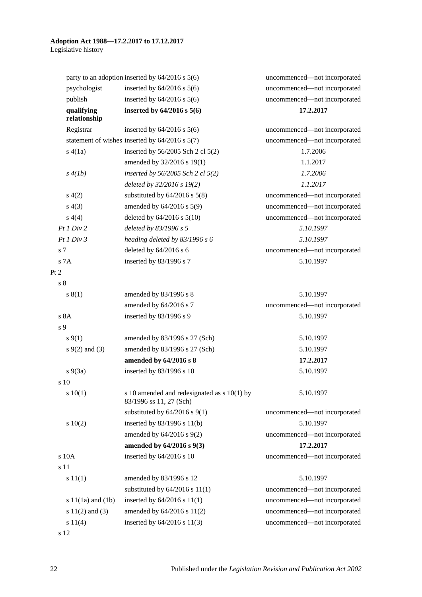|                       | party to an adoption inserted by $64/2016$ s $5(6)$                      | uncommenced-not incorporated |
|-----------------------|--------------------------------------------------------------------------|------------------------------|
| psychologist          | inserted by $64/2016$ s $5(6)$                                           | uncommenced-not incorporated |
| publish               | inserted by $64/2016$ s $5(6)$                                           | uncommenced-not incorporated |
| qualifying            | inserted by $64/2016$ s $5(6)$                                           | 17.2.2017                    |
| relationship          |                                                                          |                              |
| Registrar             | inserted by $64/2016$ s $5(6)$                                           | uncommenced-not incorporated |
|                       | statement of wishes inserted by $64/2016$ s $5(7)$                       | uncommenced-not incorporated |
| s(4(a))               | inserted by 56/2005 Sch 2 cl 5(2)                                        | 1.7.2006                     |
|                       | amended by 32/2016 s 19(1)                                               | 1.1.2017                     |
| s(4(lb))              | inserted by $56/2005$ Sch 2 cl $5(2)$                                    | 1.7.2006                     |
|                       | deleted by 32/2016 s 19(2)                                               | 1.1.2017                     |
| s(4(2)                | substituted by $64/2016$ s $5(8)$                                        | uncommenced-not incorporated |
| s(4(3))               | amended by 64/2016 s 5(9)                                                | uncommenced-not incorporated |
| s(4(4)                | deleted by $64/2016$ s $5(10)$                                           | uncommenced-not incorporated |
| Pt1 Div2              | deleted by 83/1996 s 5                                                   | 5.10.1997                    |
| Pt1 Div3              | heading deleted by 83/1996 s 6                                           | 5.10.1997                    |
| s <sub>7</sub>        | deleted by $64/2016$ s 6                                                 | uncommenced-not incorporated |
| s 7A                  | inserted by 83/1996 s 7                                                  | 5.10.1997                    |
| Pt 2                  |                                                                          |                              |
| s <sub>8</sub>        |                                                                          |                              |
| s(1)                  | amended by 83/1996 s 8                                                   | 5.10.1997                    |
|                       | amended by 64/2016 s 7                                                   | uncommenced-not incorporated |
| s 8A                  | inserted by 83/1996 s 9                                                  | 5.10.1997                    |
| s 9                   |                                                                          |                              |
| $s \, 9(1)$           | amended by 83/1996 s 27 (Sch)                                            | 5.10.1997                    |
| $s \, 9(2)$ and (3)   | amended by 83/1996 s 27 (Sch)                                            | 5.10.1997                    |
|                       | amended by 64/2016 s 8                                                   | 17.2.2017                    |
| $s\ 9(3a)$            | inserted by 83/1996 s 10                                                 | 5.10.1997                    |
| s 10                  |                                                                          |                              |
| 10(1)                 | s 10 amended and redesignated as $s$ 10(1) by<br>83/1996 ss 11, 27 (Sch) | 5.10.1997                    |
|                       | substituted by $64/2016$ s $9(1)$                                        | uncommenced-not incorporated |
| 10(2)                 | inserted by 83/1996 s 11(b)                                              | 5.10.1997                    |
|                       | amended by $64/2016$ s $9(2)$                                            | uncommenced—not incorporated |
|                       | amended by 64/2016 s 9(3)                                                | 17.2.2017                    |
| s 10A                 | inserted by 64/2016 s 10                                                 | uncommenced-not incorporated |
| s 11                  |                                                                          |                              |
| s 11(1)               | amended by 83/1996 s 12                                                  | 5.10.1997                    |
|                       | substituted by $64/2016$ s $11(1)$                                       | uncommenced-not incorporated |
| s $11(1a)$ and $(1b)$ | inserted by $64/2016$ s $11(1)$                                          | uncommenced-not incorporated |
| s $11(2)$ and $(3)$   | amended by 64/2016 s 11(2)                                               | uncommenced-not incorporated |
| s 11(4)               | inserted by $64/2016$ s $11(3)$                                          | uncommenced-not incorporated |
| s 12                  |                                                                          |                              |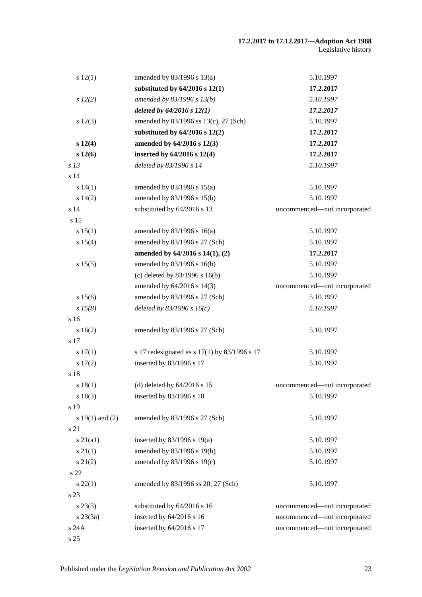#### **17.2.2017 to 17.12.2017—Adoption Act 1988** Legislative history

| s 12(1)             | amended by $83/1996$ s $13(a)$               | 5.10.1997                    |
|---------------------|----------------------------------------------|------------------------------|
|                     | substituted by $64/2016$ s $12(1)$           | 17.2.2017                    |
| $s\ 12(2)$          | amended by 83/1996 s 13(b)                   | 5.10.1997                    |
|                     | deleted by $64/2016$ s $12(1)$               | 17.2.2017                    |
| s 12(3)             | amended by 83/1996 ss 13(c), 27 (Sch)        | 5.10.1997                    |
|                     | substituted by $64/2016$ s $12(2)$           | 17.2.2017                    |
| s 12(4)             | amended by 64/2016 s 12(3)                   | 17.2.2017                    |
| s 12(6)             | inserted by 64/2016 s 12(4)                  | 17.2.2017                    |
| s <sub>13</sub>     | deleted by 83/1996 s 14                      | 5.10.1997                    |
| s <sub>14</sub>     |                                              |                              |
| s 14(1)             | amended by 83/1996 s 15(a)                   | 5.10.1997                    |
| s 14(2)             | amended by 83/1996 s 15(b)                   | 5.10.1997                    |
| s <sub>14</sub>     | substituted by 64/2016 s 13                  | uncommenced-not incorporated |
| s 15                |                                              |                              |
| s 15(1)             | amended by $83/1996$ s $16(a)$               | 5.10.1997                    |
| s 15(4)             | amended by 83/1996 s 27 (Sch)                | 5.10.1997                    |
|                     | amended by 64/2016 s 14(1), (2)              | 17.2.2017                    |
| s 15(5)             | amended by 83/1996 s 16(b)                   | 5.10.1997                    |
|                     | (c) deleted by $83/1996$ s $16(b)$           | 5.10.1997                    |
|                     | amended by 64/2016 s 14(3)                   | uncommenced-not incorporated |
| s 15(6)             | amended by 83/1996 s 27 (Sch)                | 5.10.1997                    |
| $s\,15(8)$          | deleted by $83/1996 s 16(c)$                 | 5.10.1997                    |
| s <sub>16</sub>     |                                              |                              |
| 16(2)               | amended by 83/1996 s 27 (Sch)                | 5.10.1997                    |
| s 17                |                                              |                              |
| s 17(1)             | s 17 redesignated as s 17(1) by 83/1996 s 17 | 5.10.1997                    |
| s 17(2)             | inserted by 83/1996 s 17                     | 5.10.1997                    |
| s 18                |                                              |                              |
| s18(1)              | (d) deleted by $64/2016$ s 15                | uncommenced-not incorporated |
| s 18(3)             | inserted by 83/1996 s 18                     | 5.10.1997                    |
| s 19                |                                              |                              |
| s $19(1)$ and $(2)$ | amended by 83/1996 s 27 (Sch)                | 5.10.1997                    |
| s 21                |                                              |                              |
| $s\ 21(a1)$         | inserted by $83/1996$ s $19(a)$              | 5.10.1997                    |
| $s \, 21(1)$        | amended by 83/1996 s 19(b)                   | 5.10.1997                    |
| $s\ 21(2)$          | amended by 83/1996 s 19(c)                   | 5.10.1997                    |
| s 22                |                                              |                              |
| $s\,22(1)$          | amended by 83/1996 ss 20, 27 (Sch)           | 5.10.1997                    |
| s 23                |                                              |                              |
| $s\,23(3)$          | substituted by 64/2016 s 16                  | uncommenced-not incorporated |
| $s\,23(3a)$         | inserted by 64/2016 s 16                     | uncommenced-not incorporated |
| s 24A               | inserted by 64/2016 s 17                     | uncommenced-not incorporated |
| s 25                |                                              |                              |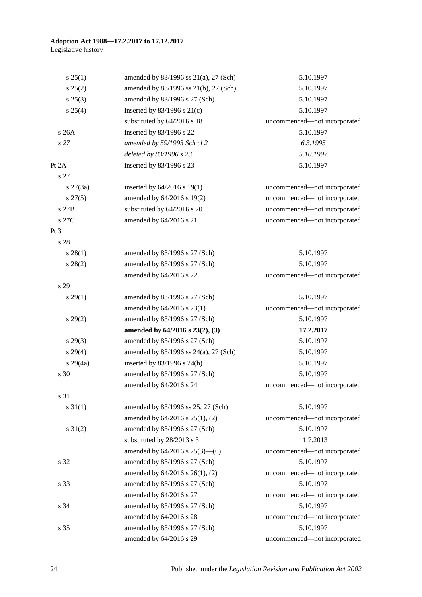| s 25(1)         | amended by $83/1996$ ss $21(a)$ , $27$ (Sch) | 5.10.1997                    |
|-----------------|----------------------------------------------|------------------------------|
| $s\,25(2)$      | amended by 83/1996 ss 21(b), 27 (Sch)        | 5.10.1997                    |
| $s\,25(3)$      | amended by 83/1996 s 27 (Sch)                | 5.10.1997                    |
| $s \; 25(4)$    | inserted by $83/1996$ s $21(c)$              | 5.10.1997                    |
|                 | substituted by 64/2016 s 18                  | uncommenced-not incorporated |
| s 26A           | inserted by 83/1996 s 22                     | 5.10.1997                    |
| s <sub>27</sub> | amended by 59/1993 Sch cl 2                  | 6.3.1995                     |
|                 | deleted by 83/1996 s 23                      | 5.10.1997                    |
| Pt 2A           | inserted by 83/1996 s 23                     | 5.10.1997                    |
| s 27            |                                              |                              |
| $s \, 27(3a)$   | inserted by $64/2016$ s 19(1)                | uncommenced-not incorporated |
| $s\,27(5)$      | amended by 64/2016 s 19(2)                   | uncommenced-not incorporated |
| s 27B           | substituted by 64/2016 s 20                  | uncommenced-not incorporated |
| s 27C           | amended by 64/2016 s 21                      | uncommenced-not incorporated |
| Pt <sub>3</sub> |                                              |                              |
| s 28            |                                              |                              |
| $s\,28(1)$      | amended by 83/1996 s 27 (Sch)                | 5.10.1997                    |
| $s\,28(2)$      | amended by 83/1996 s 27 (Sch)                | 5.10.1997                    |
|                 | amended by 64/2016 s 22                      | uncommenced-not incorporated |
| s 29            |                                              |                              |
| $s\,29(1)$      | amended by 83/1996 s 27 (Sch)                | 5.10.1997                    |
|                 | amended by 64/2016 s 23(1)                   | uncommenced-not incorporated |
| $s\,29(2)$      | amended by 83/1996 s 27 (Sch)                | 5.10.1997                    |
|                 | amended by 64/2016 s 23(2), (3)              | 17.2.2017                    |
| $s\,29(3)$      | amended by 83/1996 s 27 (Sch)                | 5.10.1997                    |
| $s\,29(4)$      | amended by 83/1996 ss 24(a), 27 (Sch)        | 5.10.1997                    |
| $s\,29(4a)$     | inserted by $83/1996$ s $24(b)$              | 5.10.1997                    |
| s 30            | amended by 83/1996 s 27 (Sch)                | 5.10.1997                    |
|                 | amended by 64/2016 s 24                      | uncommenced-not incorporated |
| s 31            |                                              |                              |
| $s \, 31(1)$    | amended by 83/1996 ss 25, 27 (Sch)           | 5.10.1997                    |
|                 | amended by 64/2016 s 25(1), (2)              | uncommenced-not incorporated |
| $s \, 31(2)$    | amended by 83/1996 s 27 (Sch)                | 5.10.1997                    |
|                 | substituted by 28/2013 s 3                   | 11.7.2013                    |
|                 | amended by $64/2016$ s $25(3)$ — $(6)$       | uncommenced-not incorporated |
| s 32            | amended by 83/1996 s 27 (Sch)                | 5.10.1997                    |
|                 | amended by 64/2016 s 26(1), (2)              | uncommenced-not incorporated |
| s 33            | amended by 83/1996 s 27 (Sch)                | 5.10.1997                    |
|                 | amended by 64/2016 s 27                      | uncommenced-not incorporated |
| s 34            | amended by 83/1996 s 27 (Sch)                | 5.10.1997                    |
|                 | amended by 64/2016 s 28                      | uncommenced-not incorporated |
| s 35            | amended by 83/1996 s 27 (Sch)                | 5.10.1997                    |
|                 | amended by 64/2016 s 29                      | uncommenced-not incorporated |